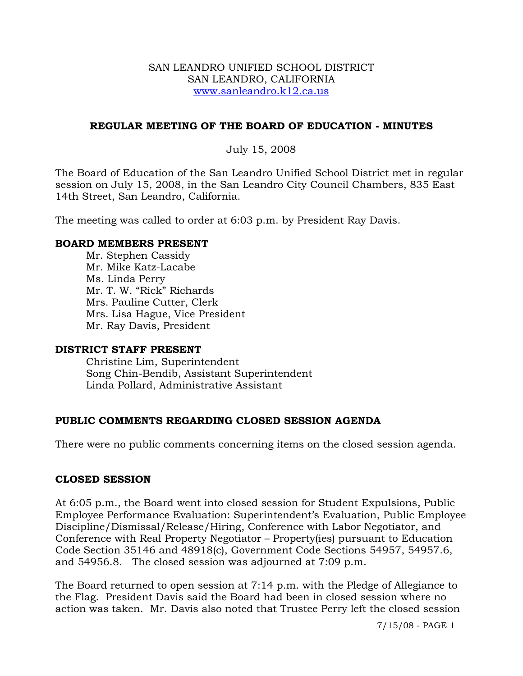### SAN LEANDRO UNIFIED SCHOOL DISTRICT SAN LEANDRO, CALIFORNIA www.sanleandro.k12.ca.us

### **REGULAR MEETING OF THE BOARD OF EDUCATION - MINUTES**

### July 15, 2008

The Board of Education of the San Leandro Unified School District met in regular session on July 15, 2008, in the San Leandro City Council Chambers, 835 East 14th Street, San Leandro, California.

The meeting was called to order at 6:03 p.m. by President Ray Davis.

### **BOARD MEMBERS PRESENT**

Mr. Stephen Cassidy Mr. Mike Katz-Lacabe Ms. Linda Perry Mr. T. W. "Rick" Richards Mrs. Pauline Cutter, Clerk Mrs. Lisa Hague, Vice President Mr. Ray Davis, President

### **DISTRICT STAFF PRESENT**

Christine Lim, Superintendent Song Chin-Bendib, Assistant Superintendent Linda Pollard, Administrative Assistant

## **PUBLIC COMMENTS REGARDING CLOSED SESSION AGENDA**

There were no public comments concerning items on the closed session agenda.

### **CLOSED SESSION**

At 6:05 p.m., the Board went into closed session for Student Expulsions, Public Employee Performance Evaluation: Superintendent's Evaluation, Public Employee Discipline/Dismissal/Release/Hiring, Conference with Labor Negotiator, and Conference with Real Property Negotiator – Property(ies) pursuant to Education Code Section 35146 and 48918(c), Government Code Sections 54957, 54957.6, and 54956.8. The closed session was adjourned at 7:09 p.m.

The Board returned to open session at 7:14 p.m. with the Pledge of Allegiance to the Flag. President Davis said the Board had been in closed session where no action was taken. Mr. Davis also noted that Trustee Perry left the closed session

7/15/08 - PAGE 1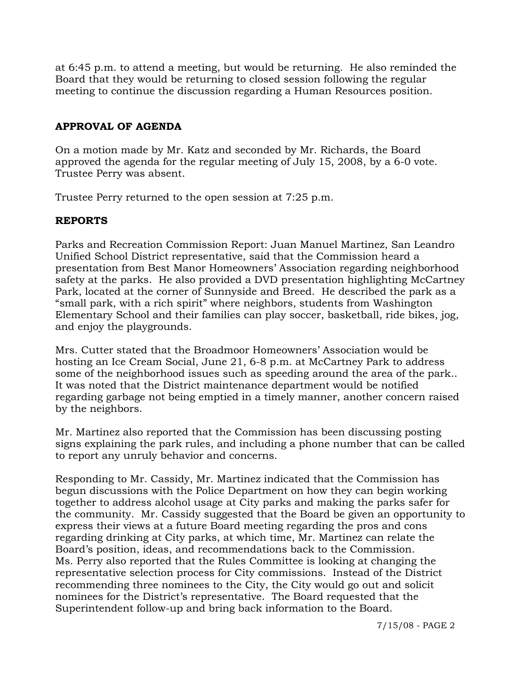at 6:45 p.m. to attend a meeting, but would be returning. He also reminded the Board that they would be returning to closed session following the regular meeting to continue the discussion regarding a Human Resources position.

# **APPROVAL OF AGENDA**

On a motion made by Mr. Katz and seconded by Mr. Richards, the Board approved the agenda for the regular meeting of July 15, 2008, by a 6-0 vote. Trustee Perry was absent.

Trustee Perry returned to the open session at 7:25 p.m.

# **REPORTS**

Parks and Recreation Commission Report: Juan Manuel Martinez, San Leandro Unified School District representative, said that the Commission heard a presentation from Best Manor Homeowners' Association regarding neighborhood safety at the parks. He also provided a DVD presentation highlighting McCartney Park, located at the corner of Sunnyside and Breed. He described the park as a "small park, with a rich spirit" where neighbors, students from Washington Elementary School and their families can play soccer, basketball, ride bikes, jog, and enjoy the playgrounds.

Mrs. Cutter stated that the Broadmoor Homeowners' Association would be hosting an Ice Cream Social, June 21, 6-8 p.m. at McCartney Park to address some of the neighborhood issues such as speeding around the area of the park.. It was noted that the District maintenance department would be notified regarding garbage not being emptied in a timely manner, another concern raised by the neighbors.

Mr. Martinez also reported that the Commission has been discussing posting signs explaining the park rules, and including a phone number that can be called to report any unruly behavior and concerns.

Responding to Mr. Cassidy, Mr. Martinez indicated that the Commission has begun discussions with the Police Department on how they can begin working together to address alcohol usage at City parks and making the parks safer for the community. Mr. Cassidy suggested that the Board be given an opportunity to express their views at a future Board meeting regarding the pros and cons regarding drinking at City parks, at which time, Mr. Martinez can relate the Board's position, ideas, and recommendations back to the Commission. Ms. Perry also reported that the Rules Committee is looking at changing the representative selection process for City commissions. Instead of the District recommending three nominees to the City, the City would go out and solicit nominees for the District's representative. The Board requested that the Superintendent follow-up and bring back information to the Board.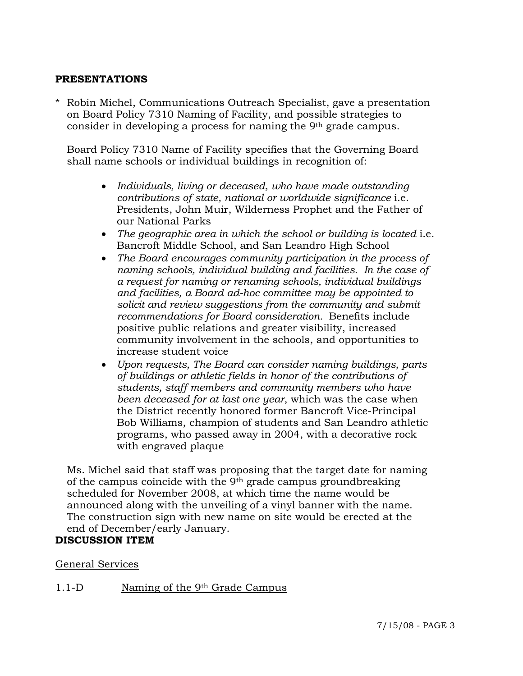### **PRESENTATIONS**

\* Robin Michel, Communications Outreach Specialist, gave a presentation on Board Policy 7310 Naming of Facility, and possible strategies to consider in developing a process for naming the 9<sup>th</sup> grade campus.

 Board Policy 7310 Name of Facility specifies that the Governing Board shall name schools or individual buildings in recognition of:

- *Individuals, living or deceased, who have made outstanding contributions of state, national or worldwide significance* i.e. Presidents, John Muir, Wilderness Prophet and the Father of our National Parks
- *The geographic area in which the school or building is located* i.e. Bancroft Middle School, and San Leandro High School
- *The Board encourages community participation in the process of naming schools, individual building and facilities. In the case of a request for naming or renaming schools, individual buildings and facilities, a Board ad-hoc committee may be appointed to solicit and review suggestions from the community and submit recommendations for Board consideration.* Benefits include positive public relations and greater visibility, increased community involvement in the schools, and opportunities to increase student voice
- *Upon requests, The Board can consider naming buildings, parts of buildings or athletic fields in honor of the contributions of students, staff members and community members who have been deceased for at last one year*, which was the case when the District recently honored former Bancroft Vice-Principal Bob Williams, champion of students and San Leandro athletic programs, who passed away in 2004, with a decorative rock with engraved plaque

 Ms. Michel said that staff was proposing that the target date for naming of the campus coincide with the 9th grade campus groundbreaking scheduled for November 2008, at which time the name would be announced along with the unveiling of a vinyl banner with the name. The construction sign with new name on site would be erected at the end of December/early January.

# **DISCUSSION ITEM**

### General Services

## 1.1-D Naming of the 9th Grade Campus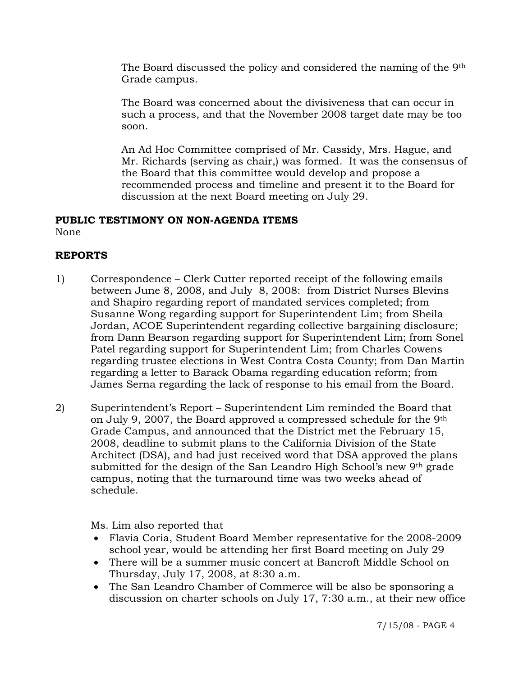The Board discussed the policy and considered the naming of the 9th Grade campus.

The Board was concerned about the divisiveness that can occur in such a process, and that the November 2008 target date may be too soon.

An Ad Hoc Committee comprised of Mr. Cassidy, Mrs. Hague, and Mr. Richards (serving as chair,) was formed. It was the consensus of the Board that this committee would develop and propose a recommended process and timeline and present it to the Board for discussion at the next Board meeting on July 29.

# **PUBLIC TESTIMONY ON NON-AGENDA ITEMS**

None

# **REPORTS**

- 1) Correspondence Clerk Cutter reported receipt of the following emails between June 8, 2008, and July 8, 2008: from District Nurses Blevins and Shapiro regarding report of mandated services completed; from Susanne Wong regarding support for Superintendent Lim; from Sheila Jordan, ACOE Superintendent regarding collective bargaining disclosure; from Dann Bearson regarding support for Superintendent Lim; from Sonel Patel regarding support for Superintendent Lim; from Charles Cowens regarding trustee elections in West Contra Costa County; from Dan Martin regarding a letter to Barack Obama regarding education reform; from James Serna regarding the lack of response to his email from the Board.
- 2) Superintendent's Report Superintendent Lim reminded the Board that on July 9, 2007, the Board approved a compressed schedule for the 9th Grade Campus, and announced that the District met the February 15, 2008, deadline to submit plans to the California Division of the State Architect (DSA), and had just received word that DSA approved the plans submitted for the design of the San Leandro High School's new 9th grade campus, noting that the turnaround time was two weeks ahead of schedule.

Ms. Lim also reported that

- Flavia Coria, Student Board Member representative for the 2008-2009 school year, would be attending her first Board meeting on July 29
- There will be a summer music concert at Bancroft Middle School on Thursday, July 17, 2008, at 8:30 a.m.
- The San Leandro Chamber of Commerce will be also be sponsoring a discussion on charter schools on July 17, 7:30 a.m., at their new office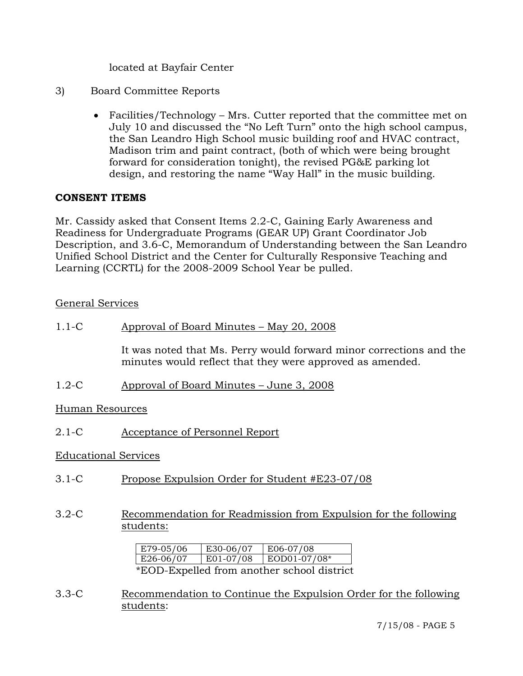located at Bayfair Center

- 3) Board Committee Reports
	- Facilities/Technology Mrs. Cutter reported that the committee met on July 10 and discussed the "No Left Turn" onto the high school campus, the San Leandro High School music building roof and HVAC contract, Madison trim and paint contract, (both of which were being brought forward for consideration tonight), the revised PG&E parking lot design, and restoring the name "Way Hall" in the music building.

## **CONSENT ITEMS**

Mr. Cassidy asked that Consent Items 2.2-C, Gaining Early Awareness and Readiness for Undergraduate Programs (GEAR UP) Grant Coordinator Job Description, and 3.6-C, Memorandum of Understanding between the San Leandro Unified School District and the Center for Culturally Responsive Teaching and Learning (CCRTL) for the 2008-2009 School Year be pulled.

### General Services

1.1-C Approval of Board Minutes – May 20, 2008

It was noted that Ms. Perry would forward minor corrections and the minutes would reflect that they were approved as amended.

1.2-C Approval of Board Minutes – June 3, 2008

Human Resources

2.1-C Acceptance of Personnel Report

### Educational Services

- 3.1-C Propose Expulsion Order for Student #E23-07/08
- 3.2-C Recommendation for Readmission from Expulsion for the following students:

| E79-05/06                                  | E30-06/07 | E06-07/08    |  |  |
|--------------------------------------------|-----------|--------------|--|--|
| E26-06/07                                  | E01-07/08 | EOD01-07/08* |  |  |
| *EOD-Expelled from another school district |           |              |  |  |

3.3-C Recommendation to Continue the Expulsion Order for the following students: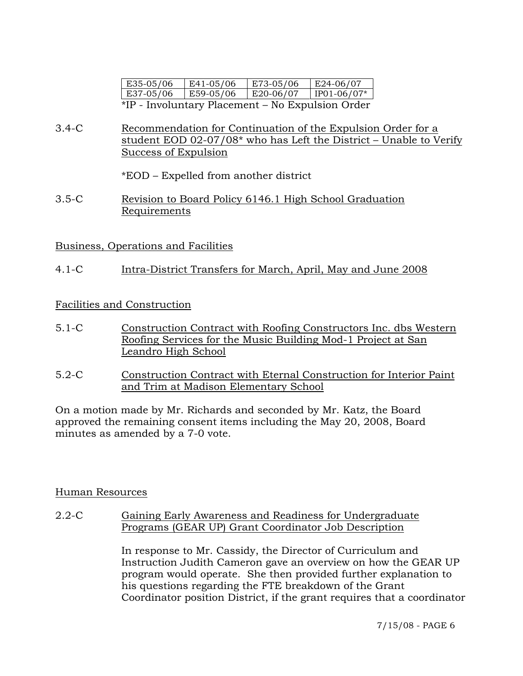| E35-05/06                                        | E41-05/06    | E73-05/06 | E24-06/07     |  |  |
|--------------------------------------------------|--------------|-----------|---------------|--|--|
| E37-05/06                                        | $ E59-05/06$ | E20-06/07 | $IP01-06/07*$ |  |  |
| *IP - Involuntary Placement – No Expulsion Order |              |           |               |  |  |

3.4-C Recommendation for Continuation of the Expulsion Order for a student EOD 02-07/08\* who has Left the District - Unable to Verify Success of Expulsion

\*EOD – Expelled from another district

3.5-C Revision to Board Policy 6146.1 High School Graduation Requirements

Business, Operations and Facilities

4.1-C Intra-District Transfers for March, April, May and June 2008

# Facilities and Construction

- 5.1-C Construction Contract with Roofing Constructors Inc. dbs Western Roofing Services for the Music Building Mod-1 Project at San Leandro High School
- 5.2-C Construction Contract with Eternal Construction for Interior Paint and Trim at Madison Elementary School

On a motion made by Mr. Richards and seconded by Mr. Katz, the Board approved the remaining consent items including the May 20, 2008, Board minutes as amended by a 7-0 vote.

## Human Resources

2.2-C Gaining Early Awareness and Readiness for Undergraduate Programs (GEAR UP) Grant Coordinator Job Description

> In response to Mr. Cassidy, the Director of Curriculum and Instruction Judith Cameron gave an overview on how the GEAR UP program would operate. She then provided further explanation to his questions regarding the FTE breakdown of the Grant Coordinator position District, if the grant requires that a coordinator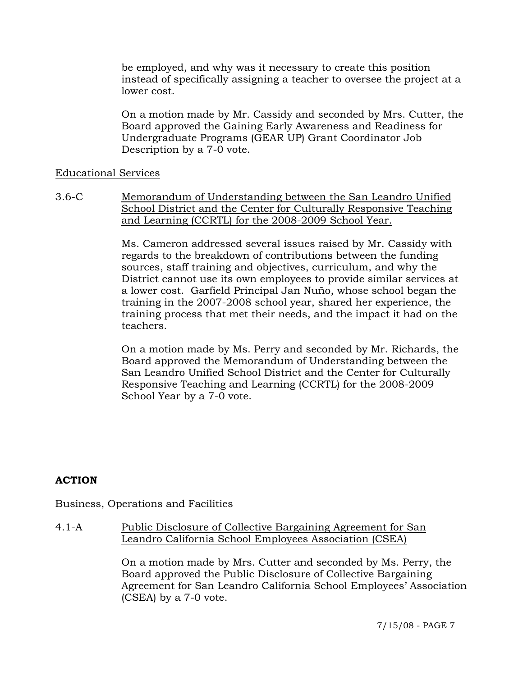be employed, and why was it necessary to create this position instead of specifically assigning a teacher to oversee the project at a lower cost.

On a motion made by Mr. Cassidy and seconded by Mrs. Cutter, the Board approved the Gaining Early Awareness and Readiness for Undergraduate Programs (GEAR UP) Grant Coordinator Job Description by a 7-0 vote.

### Educational Services

3.6-C Memorandum of Understanding between the San Leandro Unified School District and the Center for Culturally Responsive Teaching and Learning (CCRTL) for the 2008-2009 School Year.

> Ms. Cameron addressed several issues raised by Mr. Cassidy with regards to the breakdown of contributions between the funding sources, staff training and objectives, curriculum, and why the District cannot use its own employees to provide similar services at a lower cost. Garfield Principal Jan Nuño, whose school began the training in the 2007-2008 school year, shared her experience, the training process that met their needs, and the impact it had on the teachers.

> On a motion made by Ms. Perry and seconded by Mr. Richards, the Board approved the Memorandum of Understanding between the San Leandro Unified School District and the Center for Culturally Responsive Teaching and Learning (CCRTL) for the 2008-2009 School Year by a 7-0 vote.

## **ACTION**

## Business, Operations and Facilities

4.1-A Public Disclosure of Collective Bargaining Agreement for San Leandro California School Employees Association (CSEA)

> On a motion made by Mrs. Cutter and seconded by Ms. Perry, the Board approved the Public Disclosure of Collective Bargaining Agreement for San Leandro California School Employees' Association (CSEA) by a 7-0 vote.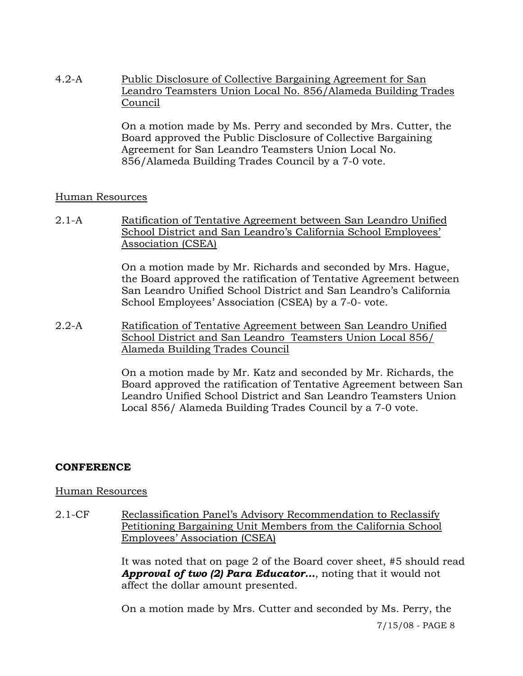4.2-A Public Disclosure of Collective Bargaining Agreement for San Leandro Teamsters Union Local No. 856/Alameda Building Trades Council

> On a motion made by Ms. Perry and seconded by Mrs. Cutter, the Board approved the Public Disclosure of Collective Bargaining Agreement for San Leandro Teamsters Union Local No. 856/Alameda Building Trades Council by a 7-0 vote.

### Human Resources

2.1-A Ratification of Tentative Agreement between San Leandro Unified School District and San Leandro's California School Employees' Association (CSEA)

> On a motion made by Mr. Richards and seconded by Mrs. Hague, the Board approved the ratification of Tentative Agreement between San Leandro Unified School District and San Leandro's California School Employees' Association (CSEA) by a 7-0- vote.

2.2-A Ratification of Tentative Agreement between San Leandro Unified School District and San Leandro Teamsters Union Local 856/ Alameda Building Trades Council

> On a motion made by Mr. Katz and seconded by Mr. Richards, the Board approved the ratification of Tentative Agreement between San Leandro Unified School District and San Leandro Teamsters Union Local 856/ Alameda Building Trades Council by a 7-0 vote.

## **CONFERENCE**

### Human Resources

2.1-CF Reclassification Panel's Advisory Recommendation to Reclassify Petitioning Bargaining Unit Members from the California School Employees' Association (CSEA)

> It was noted that on page 2 of the Board cover sheet, #5 should read *Approval of two (2) Para Educator…*, noting that it would not affect the dollar amount presented.

On a motion made by Mrs. Cutter and seconded by Ms. Perry, the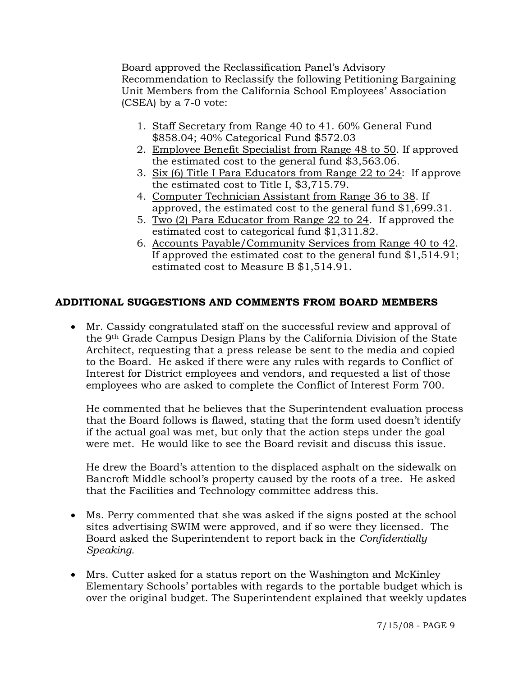Board approved the Reclassification Panel's Advisory Recommendation to Reclassify the following Petitioning Bargaining Unit Members from the California School Employees' Association (CSEA) by a 7-0 vote:

- 1. Staff Secretary from Range 40 to 41. 60% General Fund \$858.04; 40% Categorical Fund \$572.03
- 2. Employee Benefit Specialist from Range 48 to 50. If approved the estimated cost to the general fund \$3,563.06.
- 3. Six (6) Title I Para Educators from Range 22 to 24: If approve the estimated cost to Title I, \$3,715.79.
- 4. Computer Technician Assistant from Range 36 to 38. If approved, the estimated cost to the general fund \$1,699.31.
- 5. Two (2) Para Educator from Range 22 to 24. If approved the estimated cost to categorical fund \$1,311.82.
- 6. Accounts Payable/Community Services from Range 40 to 42. If approved the estimated cost to the general fund \$1,514.91; estimated cost to Measure B \$1,514.91.

# **ADDITIONAL SUGGESTIONS AND COMMENTS FROM BOARD MEMBERS**

• Mr. Cassidy congratulated staff on the successful review and approval of the 9th Grade Campus Design Plans by the California Division of the State Architect, requesting that a press release be sent to the media and copied to the Board. He asked if there were any rules with regards to Conflict of Interest for District employees and vendors, and requested a list of those employees who are asked to complete the Conflict of Interest Form 700.

He commented that he believes that the Superintendent evaluation process that the Board follows is flawed, stating that the form used doesn't identify if the actual goal was met, but only that the action steps under the goal were met. He would like to see the Board revisit and discuss this issue.

He drew the Board's attention to the displaced asphalt on the sidewalk on Bancroft Middle school's property caused by the roots of a tree. He asked that the Facilities and Technology committee address this.

- Ms. Perry commented that she was asked if the signs posted at the school sites advertising SWIM were approved, and if so were they licensed. The Board asked the Superintendent to report back in the *Confidentially Speaking.*
- Mrs. Cutter asked for a status report on the Washington and McKinley Elementary Schools' portables with regards to the portable budget which is over the original budget. The Superintendent explained that weekly updates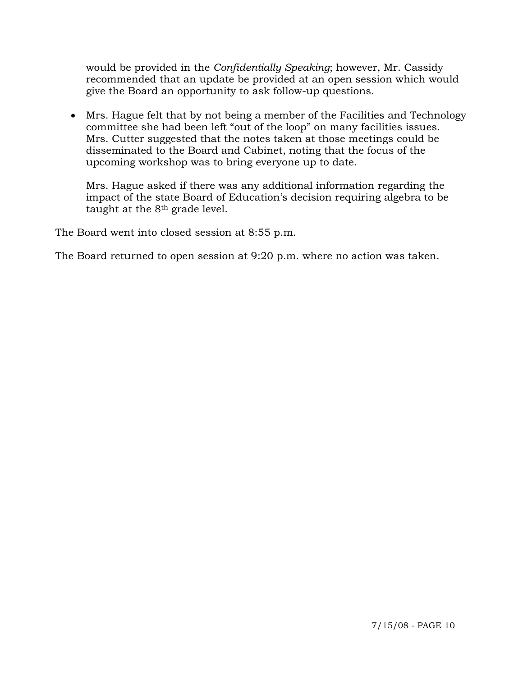would be provided in the *Confidentially Speaking*; however, Mr. Cassidy recommended that an update be provided at an open session which would give the Board an opportunity to ask follow-up questions.

• Mrs. Hague felt that by not being a member of the Facilities and Technology committee she had been left "out of the loop" on many facilities issues. Mrs. Cutter suggested that the notes taken at those meetings could be disseminated to the Board and Cabinet, noting that the focus of the upcoming workshop was to bring everyone up to date.

Mrs. Hague asked if there was any additional information regarding the impact of the state Board of Education's decision requiring algebra to be taught at the 8th grade level.

The Board went into closed session at 8:55 p.m.

The Board returned to open session at 9:20 p.m. where no action was taken.